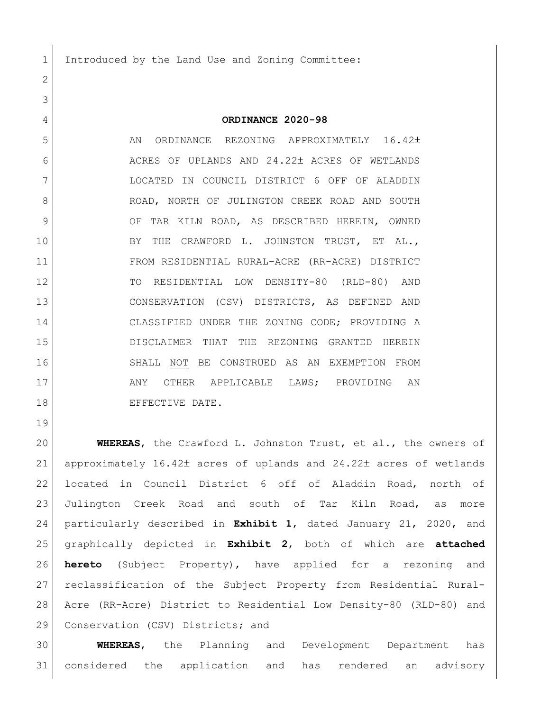1 Introduced by the Land Use and Zoning Committee:

## **ORDINANCE 2020-98**

5 AN ORDINANCE REZONING APPROXIMATELY 16.42± 6 ACRES OF UPLANDS AND 24.22± ACRES OF WETLANDS LOCATED IN COUNCIL DISTRICT 6 OFF OF ALADDIN 8 ROAD, NORTH OF JULINGTON CREEK ROAD AND SOUTH 9 OF TAR KILN ROAD, AS DESCRIBED HEREIN, OWNED 10 BY THE CRAWFORD L. JOHNSTON TRUST, ET AL., FROM RESIDENTIAL RURAL-ACRE (RR-ACRE) DISTRICT TO RESIDENTIAL LOW DENSITY-80 (RLD-80) AND CONSERVATION (CSV) DISTRICTS, AS DEFINED AND CLASSIFIED UNDER THE ZONING CODE; PROVIDING A DISCLAIMER THAT THE REZONING GRANTED HEREIN SHALL NOT BE CONSTRUED AS AN EXEMPTION FROM 17 ANY OTHER APPLICABLE LAWS; PROVIDING AN 18 EFFECTIVE DATE.

 **WHEREAS**, the Crawford L. Johnston Trust, et al., the owners of 21 approximately  $16.42<sup>±</sup>$  acres of uplands and  $24.22<sup>±</sup>$  acres of wetlands located in Council District 6 off of Aladdin Road, north of Julington Creek Road and south of Tar Kiln Road, as more particularly described in **Exhibit 1**, dated January 21, 2020, and graphically depicted in **Exhibit 2**, both of which are **attached hereto** (Subject Property), have applied for a rezoning and reclassification of the Subject Property from Residential Rural- Acre (RR-Acre) District to Residential Low Density-80 (RLD-80) and 29 | Conservation (CSV) Districts; and

 **WHEREAS**, the Planning and Development Department has considered the application and has rendered an advisory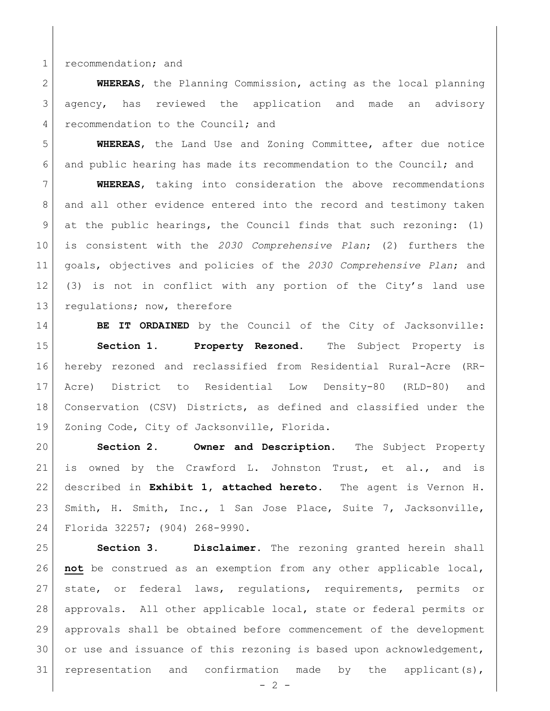1 recommendation; and

 **WHEREAS**, the Planning Commission, acting as the local planning agency, has reviewed the application and made an advisory 4 recommendation to the Council; and

 **WHEREAS**, the Land Use and Zoning Committee, after due notice and public hearing has made its recommendation to the Council; and

 **WHEREAS**, taking into consideration the above recommendations and all other evidence entered into the record and testimony taken at the public hearings, the Council finds that such rezoning: (1) is consistent with the *2030 Comprehensive Plan*; (2) furthers the goals, objectives and policies of the *2030 Comprehensive Plan*; and (3) is not in conflict with any portion of the City's land use 13 regulations; now, therefore

**BE IT ORDAINED** by the Council of the City of Jacksonville: **Section 1. Property Rezoned.** The Subject Property is hereby rezoned and reclassified from Residential Rural-Acre (RR- Acre) District to Residential Low Density-80 (RLD-80) and Conservation (CSV) Districts, as defined and classified under the 19 Zoning Code, City of Jacksonville, Florida.

 **Section 2. Owner and Description.** The Subject Property is owned by the Crawford L. Johnston Trust, et al., and is described in **Exhibit 1, attached hereto.** The agent is Vernon H. Smith, H. Smith, Inc., 1 San Jose Place, Suite 7, Jacksonville, Florida 32257; (904) 268-9990.

 **Section 3. Disclaimer.** The rezoning granted herein shall **not** be construed as an exemption from any other applicable local, state, or federal laws, regulations, requirements, permits or approvals. All other applicable local, state or federal permits or approvals shall be obtained before commencement of the development 30 or use and issuance of this rezoning is based upon acknowledgement, 31 representation and confirmation made by the applicant(s),

 $-2 -$